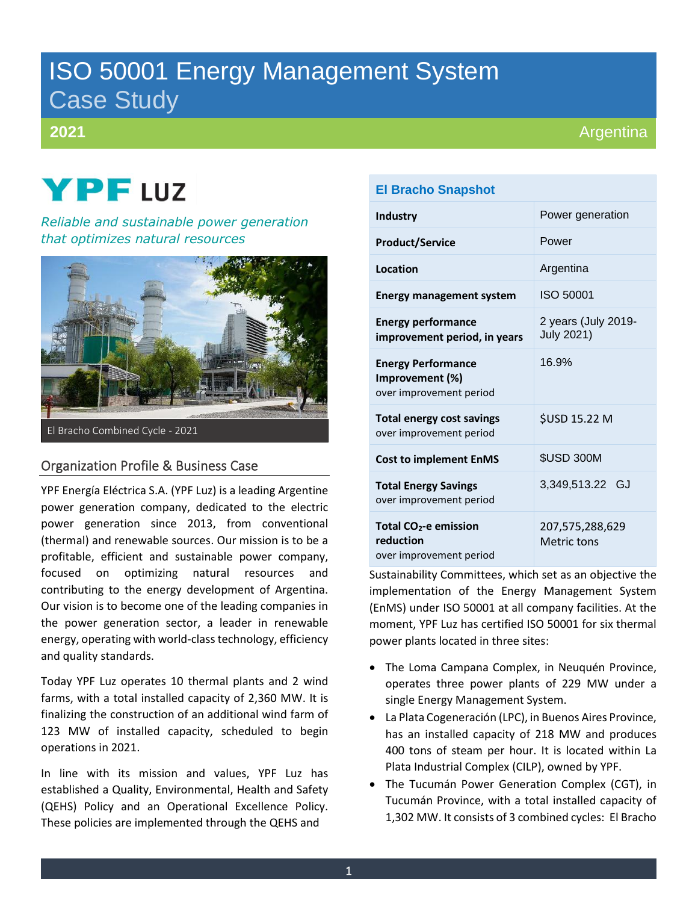## ISO 50001 Energy Management System Case Study

#### **2021**

# **YPF** LUZ

*Reliable and sustainable power generation that optimizes natural resources*



#### Organization Profile & Business Case

YPF Energía Eléctrica S.A. (YPF Luz) is a leading Argentine power generation company, dedicated to the electric power generation since 2013, from conventional (thermal) and renewable sources. Our mission is to be a profitable, efficient and sustainable power company, focused on optimizing natural resources and contributing to the energy development of Argentina. Our vision is to become one of the leading companies in the power generation sector, a leader in renewable energy, operating with world-class technology, efficiency and quality standards.

Today YPF Luz operates 10 thermal plants and 2 wind farms, with a total installed capacity of 2,360 MW. It is finalizing the construction of an additional wind farm of 123 MW of installed capacity, scheduled to begin operations in 2021.

In line with its mission and values, YPF Luz has established a Quality, Environmental, Health and Safety (QEHS) Policy and an Operational Excellence Policy. These policies are implemented through the QEHS and

#### **El Bracho Snapshot**

| <b>Industry</b>                                                           | Power generation                         |
|---------------------------------------------------------------------------|------------------------------------------|
| <b>Product/Service</b>                                                    | Power                                    |
| Location                                                                  | Argentina                                |
| <b>Energy management system</b>                                           | ISO 50001                                |
| <b>Energy performance</b><br>improvement period, in years                 | 2 years (July 2019-<br><b>July 2021)</b> |
| <b>Energy Performance</b><br>Improvement (%)<br>over improvement period   | 16.9%                                    |
| <b>Total energy cost savings</b><br>over improvement period               | \$USD 15.22 M                            |
| <b>Cost to implement EnMS</b>                                             | <b>\$USD 300M</b>                        |
| <b>Total Energy Savings</b><br>over improvement period                    | 3,349,513.22 GJ                          |
| Total CO <sub>2</sub> -e emission<br>reduction<br>over improvement period | 207,575,288,629<br>Metric tons           |

Sustainability Committees, which set as an objective the implementation of the Energy Management System (EnMS) under ISO 50001 at all company facilities. At the moment, YPF Luz has certified ISO 50001 for six thermal power plants located in three sites:

- The Loma Campana Complex, in Neuquén Province, operates three power plants of 229 MW under a single Energy Management System.
- La Plata Cogeneración (LPC), in Buenos Aires Province, has an installed capacity of 218 MW and produces 400 tons of steam per hour. It is located within La Plata Industrial Complex (CILP), owned by YPF.
- The Tucumán Power Generation Complex (CGT), in Tucumán Province, with a total installed capacity of 1,302 MW. It consists of 3 combined cycles: El Bracho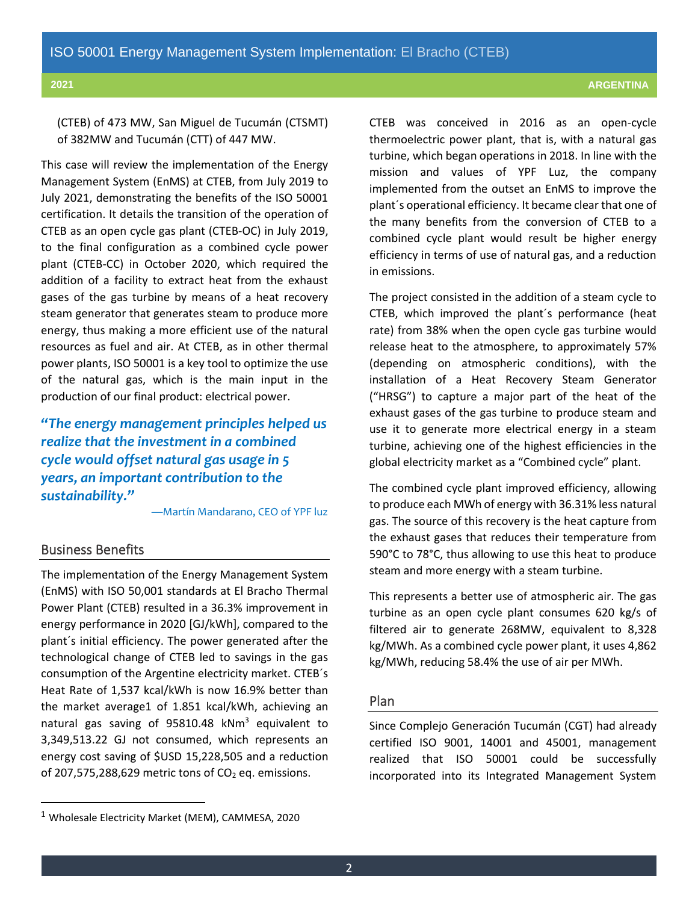(CTEB) of 473 MW, San Miguel de Tucumán (CTSMT) of 382MW and Tucumán (CTT) of 447 MW.

This case will review the implementation of the Energy Management System (EnMS) at CTEB, from July 2019 to July 2021, demonstrating the benefits of the ISO 50001 certification. It details the transition of the operation of CTEB as an open cycle gas plant (CTEB-OC) in July 2019, to the final configuration as a combined cycle power plant (CTEB-CC) in October 2020, which required the addition of a facility to extract heat from the exhaust gases of the gas turbine by means of a heat recovery steam generator that generates steam to produce more energy, thus making a more efficient use of the natural resources as fuel and air. At CTEB, as in other thermal power plants, ISO 50001 is a key tool to optimize the use of the natural gas, which is the main input in the production of our final product: electrical power.

*"The energy management principles helped us realize that the investment in a combined cycle would offset natural gas usage in 5 years, an important contribution to the sustainability."*

—Martín Mandarano, CEO of YPF luz

#### Business Benefits

The implementation of the Energy Management System (EnMS) with ISO 50,001 standards at El Bracho Thermal Power Plant (CTEB) resulted in a 36.3% improvement in energy performance in 2020 [GJ/kWh], compared to the plant´s initial efficiency. The power generated after the technological change of CTEB led to savings in the gas consumption of the Argentine electricity market. CTEB´s Heat Rate of 1,537 kcal/kWh is now 16.9% better than the market average1 of 1.851 kcal/kWh, achieving an natural gas saving of 95810.48 kNm<sup>3</sup> equivalent to 3,349,513.22 GJ not consumed, which represents an energy cost saving of \$USD 15,228,505 and a reduction of 207,575,288,629 metric tons of  $CO<sub>2</sub>$  eq. emissions.

CTEB was conceived in 2016 as an open-cycle thermoelectric power plant, that is, with a natural gas turbine, which began operations in 2018. In line with the mission and values of YPF Luz, the company implemented from the outset an EnMS to improve the plant´s operational efficiency. It became clear that one of the many benefits from the conversion of CTEB to a combined cycle plant would result be higher energy efficiency in terms of use of natural gas, and a reduction in emissions.

The project consisted in the addition of a steam cycle to CTEB, which improved the plant´s performance (heat rate) from 38% when the open cycle gas turbine would release heat to the atmosphere, to approximately 57% (depending on atmospheric conditions), with the installation of a Heat Recovery Steam Generator ("HRSG") to capture a major part of the heat of the exhaust gases of the gas turbine to produce steam and use it to generate more electrical energy in a steam turbine, achieving one of the highest efficiencies in the global electricity market as a "Combined cycle" plant.

The combined cycle plant improved efficiency, allowing to produce each MWh of energy with 36.31% less natural gas. The source of this recovery is the heat capture from the exhaust gases that reduces their temperature from 590°C to 78°C, thus allowing to use this heat to produce steam and more energy with a steam turbine.

This represents a better use of atmospheric air. The gas turbine as an open cycle plant consumes 620 kg/s of filtered air to generate 268MW, equivalent to 8,328 kg/MWh. As a combined cycle power plant, it uses 4,862 kg/MWh, reducing 58.4% the use of air per MWh.

#### Plan

Since Complejo Generación Tucumán (CGT) had already certified ISO 9001, 14001 and 45001, management realized that ISO 50001 could be successfully incorporated into its Integrated Management System

 $1$  Wholesale Electricity Market (MEM), CAMMESA, 2020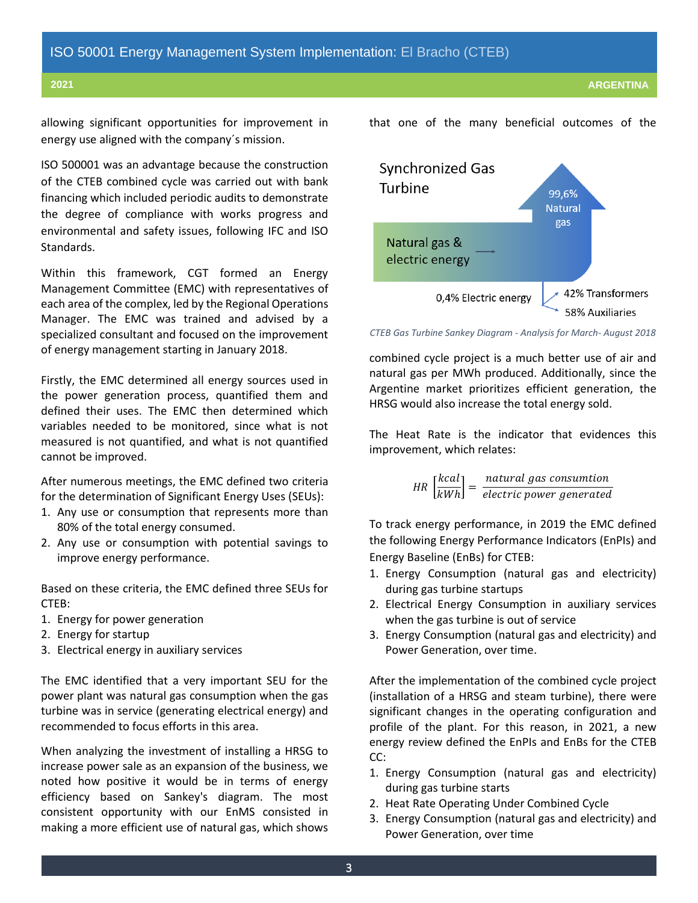allowing significant opportunities for improvement in energy use aligned with the company´s mission.

ISO 500001 was an advantage because the construction of the CTEB combined cycle was carried out with bank financing which included periodic audits to demonstrate the degree of compliance with works progress and environmental and safety issues, following IFC and ISO Standards.

Within this framework, CGT formed an Energy Management Committee (EMC) with representatives of each area of the complex, led by the Regional Operations Manager. The EMC was trained and advised by a specialized consultant and focused on the improvement of energy management starting in January 2018.

Firstly, the EMC determined all energy sources used in the power generation process, quantified them and defined their uses. The EMC then determined which variables needed to be monitored, since what is not measured is not quantified, and what is not quantified cannot be improved.

After numerous meetings, the EMC defined two criteria for the determination of Significant Energy Uses (SEUs):

- 1. Any use or consumption that represents more than 80% of the total energy consumed.
- 2. Any use or consumption with potential savings to improve energy performance.

Based on these criteria, the EMC defined three SEUs for CTEB:

- 1. Energy for power generation
- 2. Energy for startup
- 3. Electrical energy in auxiliary services

The EMC identified that a very important SEU for the power plant was natural gas consumption when the gas turbine was in service (generating electrical energy) and recommended to focus efforts in this area.

When analyzing the investment of installing a HRSG to increase power sale as an expansion of the business, we noted how positive it would be in terms of energy efficiency based on Sankey's diagram. The most consistent opportunity with our EnMS consisted in making a more efficient use of natural gas, which shows



*CTEB Gas Turbine Sankey Diagram - Analysis for March- August 2018*

combined cycle project is a much better use of air and natural gas per MWh produced. Additionally, since the Argentine market prioritizes efficient generation, the HRSG would also increase the total energy sold.

The Heat Rate is the indicator that evidences this improvement, which relates:

> $HR\left[\frac{kcal}{lH} \right]$  $\left[\frac{kcal}{kWh}\right]=\frac{natural~gas~consumtion}{electric~power~generate}$ electric power generated

To track energy performance, in 2019 the EMC defined the following Energy Performance Indicators (EnPIs) and Energy Baseline (EnBs) for CTEB:

- 1. Energy Consumption (natural gas and electricity) during gas turbine startups
- 2. Electrical Energy Consumption in auxiliary services when the gas turbine is out of service
- 3. Energy Consumption (natural gas and electricity) and Power Generation, over time.

After the implementation of the combined cycle project (installation of a HRSG and steam turbine), there were significant changes in the operating configuration and profile of the plant. For this reason, in 2021, a new energy review defined the EnPIs and EnBs for the CTEB CC:

- 1. Energy Consumption (natural gas and electricity) during gas turbine starts
- 2. Heat Rate Operating Under Combined Cycle
- 3. Energy Consumption (natural gas and electricity) and Power Generation, over time

that one of the many beneficial outcomes of the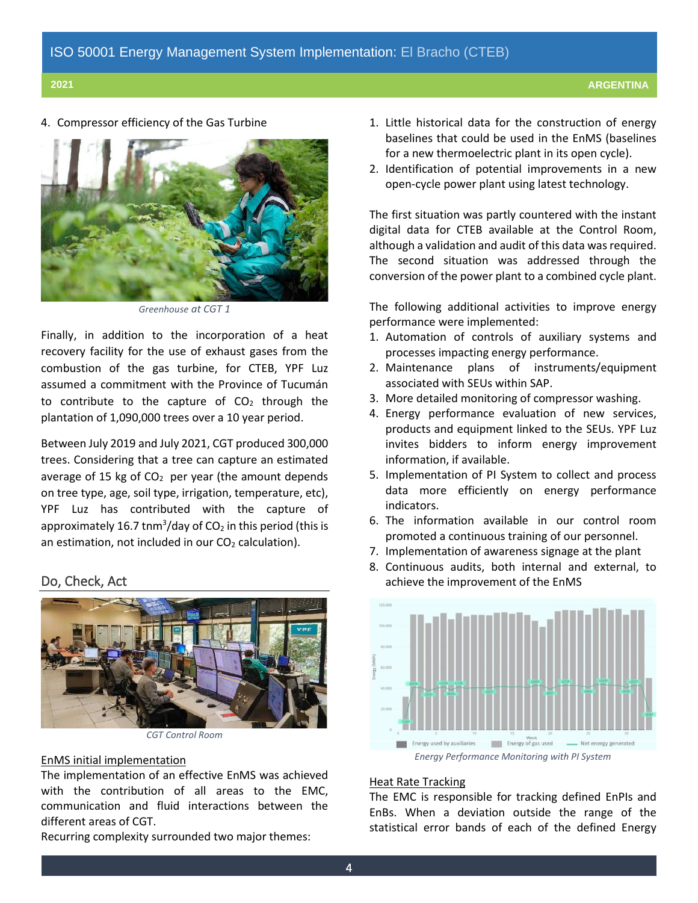4. Compressor efficiency of the Gas Turbine



*Greenhouse at CGT 1*

Finally, in addition to the incorporation of a heat recovery facility for the use of exhaust gases from the combustion of the gas turbine, for CTEB, YPF Luz assumed a commitment with the Province of Tucumán to contribute to the capture of  $CO<sub>2</sub>$  through the plantation of 1,090,000 trees over a 10 year period.

Between July 2019 and July 2021, CGT produced 300,000 trees. Considering that a tree can capture an estimated average of 15 kg of  $CO<sub>2</sub>$  per year (the amount depends on tree type, age, soil type, irrigation, temperature, etc), YPF Luz has contributed with the capture of approximately 16.7 tnm<sup>3</sup>/day of CO<sub>2</sub> in this period (this is an estimation, not included in our  $CO<sub>2</sub>$  calculation).

#### Do, Check, Act



*CGT Control Room*

#### EnMS initial implementation

The implementation of an effective EnMS was achieved with the contribution of all areas to the EMC, communication and fluid interactions between the different areas of CGT.

Recurring complexity surrounded two major themes:

- 1. Little historical data for the construction of energy baselines that could be used in the EnMS (baselines for a new thermoelectric plant in its open cycle).
- 2. Identification of potential improvements in a new open-cycle power plant using latest technology.

The first situation was partly countered with the instant digital data for CTEB available at the Control Room, although a validation and audit of this data was required. The second situation was addressed through the conversion of the power plant to a combined cycle plant.

The following additional activities to improve energy performance were implemented:

- 1. Automation of controls of auxiliary systems and processes impacting energy performance.
- 2. Maintenance plans of instruments/equipment associated with SEUs within SAP.
- 3. More detailed monitoring of compressor washing.
- 4. Energy performance evaluation of new services, products and equipment linked to the SEUs. YPF Luz invites bidders to inform energy improvement information, if available.
- 5. Implementation of PI System to collect and process data more efficiently on energy performance indicators.
- 6. The information available in our control room promoted a continuous training of our personnel.
- 7. Implementation of awareness signage at the plant
- 8. Continuous audits, both internal and external, to achieve the improvement of the EnMS



#### Heat Rate Tracking

The EMC is responsible for tracking defined EnPIs and EnBs. When a deviation outside the range of the statistical error bands of each of the defined Energy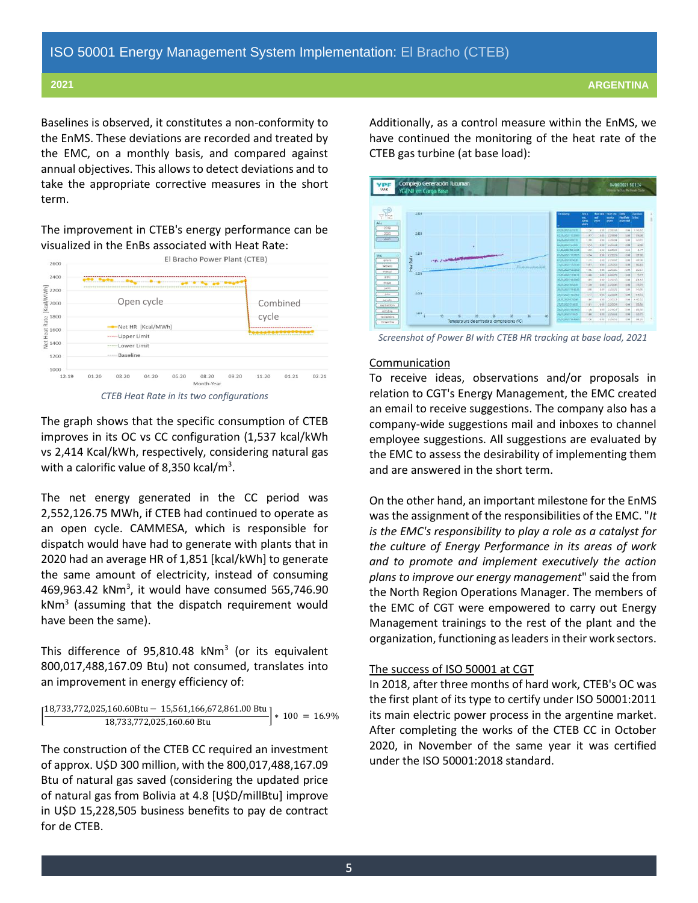Baselines is observed, it constitutes a non-conformity to the EnMS. These deviations are recorded and treated by the EMC, on a monthly basis, and compared against annual objectives. This allows to detect deviations and to take the appropriate corrective measures in the short term.

The improvement in CTEB's energy performance can be visualized in the EnBs associated with Heat Rate:

| 2600                                                                                                                                                                                                                                                                                                                                                                                                                               | El Bracho Power Plant (CTEB) |                |           |         |            |                                          |           |           |           |
|------------------------------------------------------------------------------------------------------------------------------------------------------------------------------------------------------------------------------------------------------------------------------------------------------------------------------------------------------------------------------------------------------------------------------------|------------------------------|----------------|-----------|---------|------------|------------------------------------------|-----------|-----------|-----------|
| 2400                                                                                                                                                                                                                                                                                                                                                                                                                               |                              |                |           |         |            |                                          |           |           |           |
| <br> <br> <br>  KC<br> <br>  2000<br>                                                                                                                                                                                                                                                                                                                                                                                              | Open cycle                   |                |           |         |            | Combined<br>cycle                        |           |           |           |
| $\begin{array}{l} \boxed{9} \\ \frac{1}{6} \\ \frac{1}{6} \\ \frac{1}{6} \\ \frac{1}{2} \\ \frac{1}{2} \\ \frac{1}{2} \\ \frac{1}{2} \\ \frac{1}{2} \\ \frac{1}{2} \\ \frac{1}{2} \\ \frac{1}{2} \\ \frac{1}{2} \\ \frac{1}{2} \\ \frac{1}{2} \\ \frac{1}{2} \\ \frac{1}{2} \\ \frac{1}{2} \\ \frac{1}{2} \\ \frac{1}{2} \\ \frac{1}{2} \\ \frac{1}{2} \\ \frac{1}{2} \\ \frac{1}{2} \\ \frac{1}{2} \\ \frac{1}{2} \\ \frac{1}{2}$ | Net HR [Kcal/MWh]            |                |           |         |            |                                          |           |           |           |
|                                                                                                                                                                                                                                                                                                                                                                                                                                    | ----- Upper Limit            |                |           |         |            |                                          |           |           |           |
|                                                                                                                                                                                                                                                                                                                                                                                                                                    | ----- Lower Limit            |                |           |         |            |                                          |           |           |           |
| 1200                                                                                                                                                                                                                                                                                                                                                                                                                               |                              | ----- Baseline |           |         |            |                                          |           |           |           |
| 1000<br>$12 - 19$                                                                                                                                                                                                                                                                                                                                                                                                                  | $01 - 20$                    | $03-20$        | $04 - 20$ | $06-20$ | $08-20$    | $09 - 20$                                | $11 - 20$ | $01 - 21$ | $02 - 21$ |
|                                                                                                                                                                                                                                                                                                                                                                                                                                    |                              |                |           |         | Month-Year |                                          |           |           |           |
|                                                                                                                                                                                                                                                                                                                                                                                                                                    |                              |                |           |         |            | CTEB Heat Rate in its two configurations |           |           |           |

The graph shows that the specific consumption of CTEB improves in its OC vs CC configuration (1,537 kcal/kWh vs 2,414 Kcal/kWh, respectively, considering natural gas with a calorific value of 8,350 kcal/ $m<sup>3</sup>$ .

The net energy generated in the CC period was 2,552,126.75 MWh, if CTEB had continued to operate as an open cycle. CAMMESA, which is responsible for dispatch would have had to generate with plants that in 2020 had an average HR of 1,851 [kcal/kWh] to generate the same amount of electricity, instead of consuming 469,963.42 kNm<sup>3</sup>, it would have consumed 565,746.90 kNm<sup>3</sup> (assuming that the dispatch requirement would have been the same).

This difference of 95,810.48  $kNm^3$  (or its equivalent 800,017,488,167.09 Btu) not consumed, translates into an improvement in energy efficiency of:

$$
\left[\frac{18,733,772,025,160.60Btu - 15,561,166,672,861.00Btu}{18,733,772,025,160.60Btu}\right]*100 = 16.9\%
$$

The construction of the CTEB CC required an investment of approx. U\$D 300 million, with the 800,017,488,167.09 Btu of natural gas saved (considering the updated price of natural gas from Bolivia at 4.8 [U\$D/millBtu] improve in U\$D 15,228,505 business benefits to pay de contract for de CTEB.

Additionally, as a control measure within the EnMS, we have continued the monitoring of the heat rate of the CTEB gas turbine (at base load):



*Screenshot of Power BI with CTEB HR tracking at base load, 2021*

#### **Communication**

To receive ideas, observations and/or proposals in relation to CGT's Energy Management, the EMC created an email to receive suggestions. The company also has a company-wide suggestions mail and inboxes to channel employee suggestions. All suggestions are evaluated by the EMC to assess the desirability of implementing them and are answered in the short term.

On the other hand, an important milestone for the EnMS was the assignment of the responsibilities of the EMC. "*It is the EMC's responsibility to play a role as a catalyst for the culture of Energy Performance in its areas of work and to promote and implement executively the action plans to improve our energy management*" said the from the North Region Operations Manager. The members of the EMC of CGT were empowered to carry out Energy Management trainings to the rest of the plant and the organization, functioning as leaders in their work sectors.

#### The success of ISO 50001 at CGT

In 2018, after three months of hard work, CTEB's OC was the first plant of its type to certify under ISO 50001:2011 its main electric power process in the argentine market. After completing the works of the CTEB CC in October 2020, in November of the same year it was certified under the ISO 50001:2018 standard.